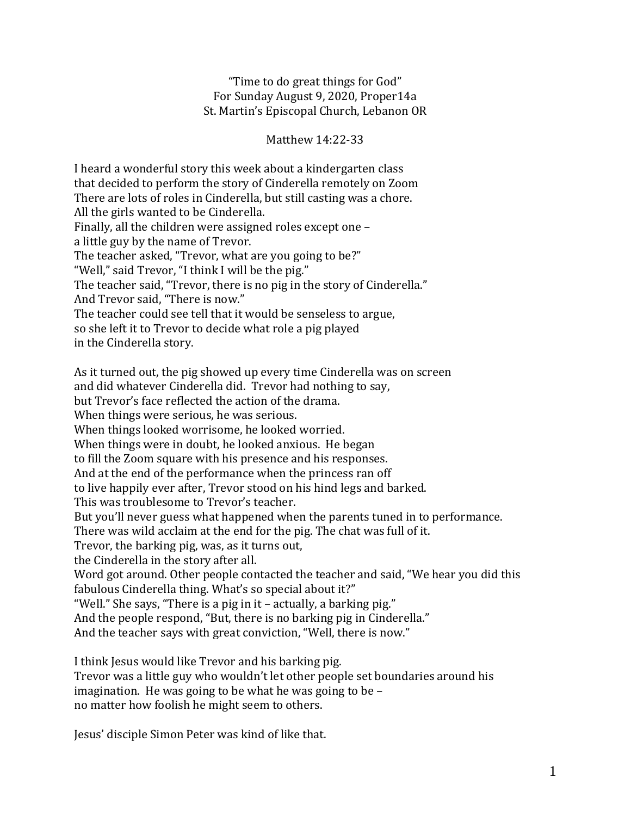## "Time to do great things for God" For Sunday August 9, 2020, Proper14a St. Martin's Episcopal Church, Lebanon OR

Matthew 14:22-33

I heard a wonderful story this week about a kindergarten class that decided to perform the story of Cinderella remotely on Zoom There are lots of roles in Cinderella, but still casting was a chore. All the girls wanted to be Cinderella. Finally, all the children were assigned roles except one – a little guy by the name of Trevor. The teacher asked, "Trevor, what are you going to be?" "Well," said Trevor, "I think I will be the pig." The teacher said, "Trevor, there is no pig in the story of Cinderella." And Trevor said, "There is now." The teacher could see tell that it would be senseless to argue, so she left it to Trevor to decide what role a pig played in the Cinderella story. As it turned out, the pig showed up every time Cinderella was on screen and did whatever Cinderella did. Trevor had nothing to say, but Trevor's face reflected the action of the drama. When things were serious, he was serious. When things looked worrisome, he looked worried. When things were in doubt, he looked anxious. He began to fill the Zoom square with his presence and his responses. And at the end of the performance when the princess ran off to live happily ever after, Trevor stood on his hind legs and barked. This was troublesome to Trevor's teacher. But you'll never guess what happened when the parents tuned in to performance. There was wild acclaim at the end for the pig. The chat was full of it. Trevor, the barking pig, was, as it turns out, the Cinderella in the story after all. Word got around. Other people contacted the teacher and said, "We hear you did this fabulous Cinderella thing. What's so special about it?" "Well." She says, "There is a pig in it – actually, a barking pig." And the people respond, "But, there is no barking pig in Cinderella." And the teacher says with great conviction, "Well, there is now."

I think Jesus would like Trevor and his barking pig. Trevor was a little guy who wouldn't let other people set boundaries around his imagination. He was going to be what he was going to be – no matter how foolish he might seem to others.

Jesus' disciple Simon Peter was kind of like that.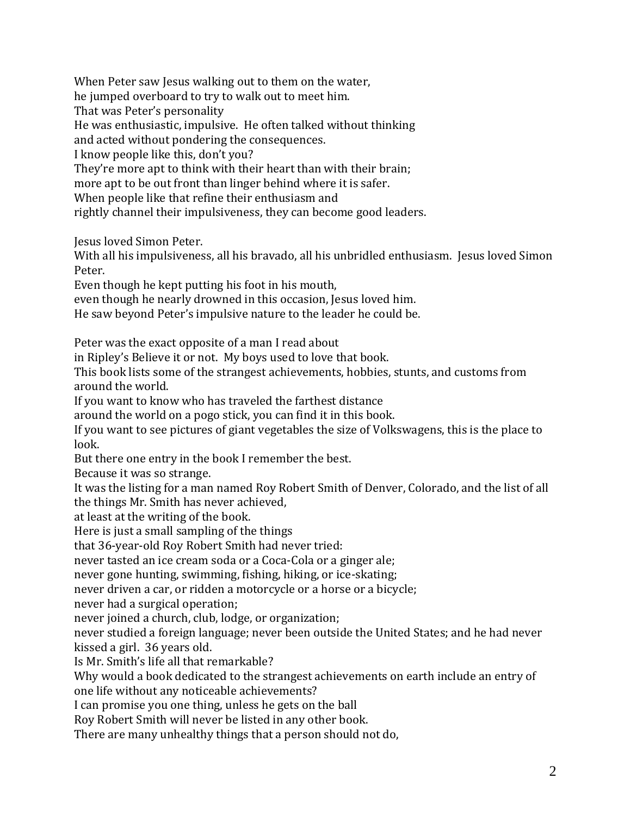When Peter saw Jesus walking out to them on the water, he jumped overboard to try to walk out to meet him. That was Peter's personality He was enthusiastic, impulsive. He often talked without thinking and acted without pondering the consequences. I know people like this, don't you? They're more apt to think with their heart than with their brain; more apt to be out front than linger behind where it is safer. When people like that refine their enthusiasm and rightly channel their impulsiveness, they can become good leaders.

Jesus loved Simon Peter.

With all his impulsiveness, all his bravado, all his unbridled enthusiasm. Jesus loved Simon Peter.

Even though he kept putting his foot in his mouth,

even though he nearly drowned in this occasion, Jesus loved him.

He saw beyond Peter's impulsive nature to the leader he could be.

Peter was the exact opposite of a man I read about

in Ripley's Believe it or not. My boys used to love that book.

This book lists some of the strangest achievements, hobbies, stunts, and customs from around the world.

If you want to know who has traveled the farthest distance

around the world on a pogo stick, you can find it in this book.

If you want to see pictures of giant vegetables the size of Volkswagens, this is the place to look.

But there one entry in the book I remember the best.

Because it was so strange.

It was the listing for a man named Roy Robert Smith of Denver, Colorado, and the list of all the things Mr. Smith has never achieved,

at least at the writing of the book.

Here is just a small sampling of the things

that 36-year-old Roy Robert Smith had never tried:

never tasted an ice cream soda or a Coca-Cola or a ginger ale;

never gone hunting, swimming, fishing, hiking, or ice-skating;

never driven a car, or ridden a motorcycle or a horse or a bicycle;

never had a surgical operation;

never joined a church, club, lodge, or organization;

never studied a foreign language; never been outside the United States; and he had never kissed a girl. 36 years old.

Is Mr. Smith's life all that remarkable?

Why would a book dedicated to the strangest achievements on earth include an entry of one life without any noticeable achievements?

I can promise you one thing, unless he gets on the ball

Roy Robert Smith will never be listed in any other book.

There are many unhealthy things that a person should not do,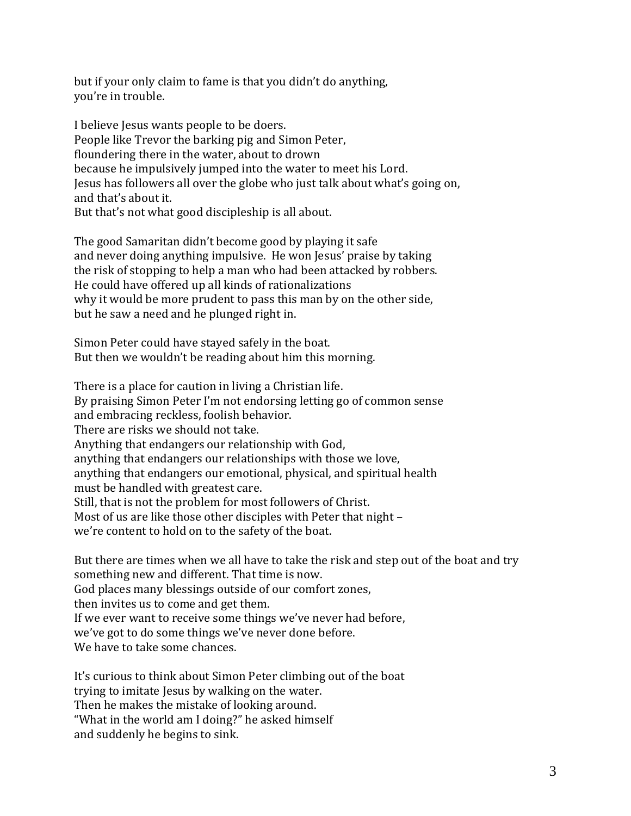but if your only claim to fame is that you didn't do anything, you're in trouble.

I believe Jesus wants people to be doers. People like Trevor the barking pig and Simon Peter, floundering there in the water, about to drown because he impulsively jumped into the water to meet his Lord. Jesus has followers all over the globe who just talk about what's going on, and that's about it. But that's not what good discipleship is all about.

The good Samaritan didn't become good by playing it safe and never doing anything impulsive. He won Jesus' praise by taking the risk of stopping to help a man who had been attacked by robbers. He could have offered up all kinds of rationalizations why it would be more prudent to pass this man by on the other side, but he saw a need and he plunged right in.

Simon Peter could have stayed safely in the boat. But then we wouldn't be reading about him this morning.

There is a place for caution in living a Christian life. By praising Simon Peter I'm not endorsing letting go of common sense and embracing reckless, foolish behavior. There are risks we should not take. Anything that endangers our relationship with God, anything that endangers our relationships with those we love, anything that endangers our emotional, physical, and spiritual health must be handled with greatest care. Still, that is not the problem for most followers of Christ. Most of us are like those other disciples with Peter that night – we're content to hold on to the safety of the boat.

But there are times when we all have to take the risk and step out of the boat and try something new and different. That time is now. God places many blessings outside of our comfort zones, then invites us to come and get them. If we ever want to receive some things we've never had before, we've got to do some things we've never done before. We have to take some chances.

It's curious to think about Simon Peter climbing out of the boat trying to imitate Jesus by walking on the water. Then he makes the mistake of looking around. "What in the world am I doing?" he asked himself and suddenly he begins to sink.